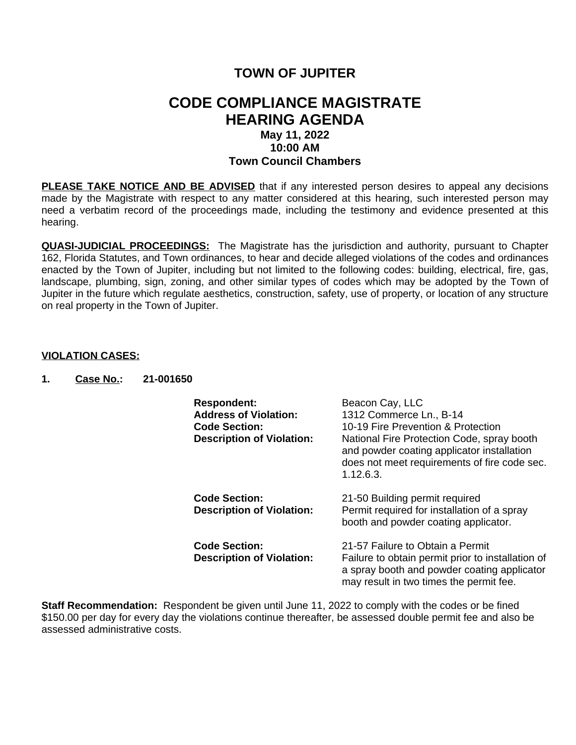## **TOWN OF JUPITER**

## **CODE COMPLIANCE MAGISTRATE HEARING AGENDA May 11, 2022 10:00 AM Town Council Chambers**

**PLEASE TAKE NOTICE AND BE ADVISED** that if any interested person desires to appeal any decisions made by the Magistrate with respect to any matter considered at this hearing, such interested person may need a verbatim record of the proceedings made, including the testimony and evidence presented at this hearing.

**QUASI-JUDICIAL PROCEEDINGS:** The Magistrate has the jurisdiction and authority, pursuant to Chapter 162, Florida Statutes, and Town ordinances, to hear and decide alleged violations of the codes and ordinances enacted by the Town of Jupiter, including but not limited to the following codes: building, electrical, fire, gas, landscape, plumbing, sign, zoning, and other similar types of codes which may be adopted by the Town of Jupiter in the future which regulate aesthetics, construction, safety, use of property, or location of any structure on real property in the Town of Jupiter.

## **VIOLATION CASES:**

**1. Case No.: 21-001650**

| <b>Respondent:</b><br><b>Address of Violation:</b><br><b>Code Section:</b><br><b>Description of Violation:</b> | Beacon Cay, LLC<br>1312 Commerce Ln., B-14<br>10-19 Fire Prevention & Protection<br>National Fire Protection Code, spray booth<br>and powder coating applicator installation<br>does not meet requirements of fire code sec.<br>1.12.6.3. |  |
|----------------------------------------------------------------------------------------------------------------|-------------------------------------------------------------------------------------------------------------------------------------------------------------------------------------------------------------------------------------------|--|
| <b>Code Section:</b><br><b>Description of Violation:</b>                                                       | 21-50 Building permit required<br>Permit required for installation of a spray<br>booth and powder coating applicator.                                                                                                                     |  |
| <b>Code Section:</b><br><b>Description of Violation:</b>                                                       | 21-57 Failure to Obtain a Permit<br>Failure to obtain permit prior to installation of<br>a spray booth and powder coating applicator<br>may result in two times the permit fee.                                                           |  |

**Staff Recommendation:** Respondent be given until June 11, 2022 to comply with the codes or be fined \$150.00 per day for every day the violations continue thereafter, be assessed double permit fee and also be assessed administrative costs.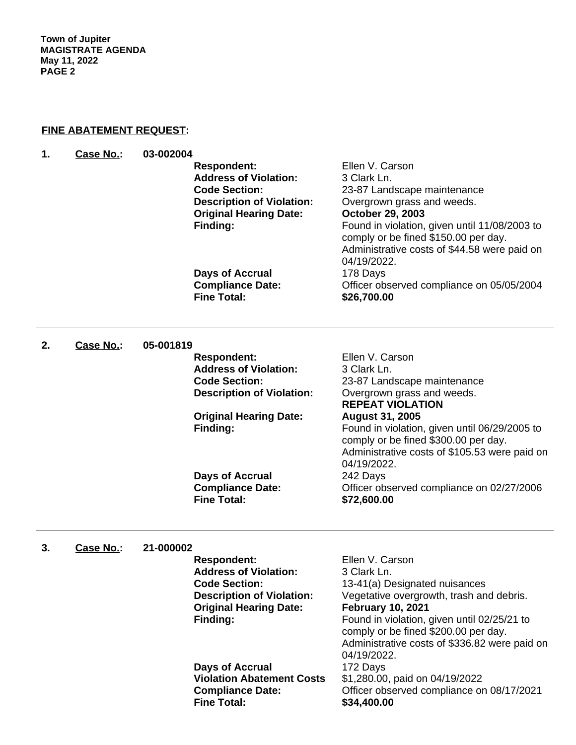**Town of Jupiter MAGISTRATE AGENDA May 11, 2022 PAGE 2**

## **FINE ABATEMENT REQUEST:**

| 1. | Case No.: | 03-002004 |                                               |                                                       |
|----|-----------|-----------|-----------------------------------------------|-------------------------------------------------------|
|    |           |           | <b>Respondent:</b>                            | Ellen V. Carson                                       |
|    |           |           | <b>Address of Violation:</b>                  | 3 Clark Ln.                                           |
|    |           |           | <b>Code Section:</b>                          | 23-87 Landscape maintenance                           |
|    |           |           | <b>Description of Violation:</b>              | Overgrown grass and weeds.                            |
|    |           |           | <b>Original Hearing Date:</b>                 | October 29, 2003                                      |
|    |           |           |                                               |                                                       |
|    |           |           | Finding:                                      | Found in violation, given until 11/08/2003 to         |
|    |           |           |                                               | comply or be fined \$150.00 per day.                  |
|    |           |           |                                               | Administrative costs of \$44.58 were paid on          |
|    |           |           |                                               | 04/19/2022.                                           |
|    |           |           | <b>Days of Accrual</b>                        | 178 Days                                              |
|    |           |           | <b>Compliance Date:</b><br><b>Fine Total:</b> | Officer observed compliance on 05/05/2004             |
|    |           |           |                                               | \$26,700.00                                           |
| 2. | Case No.: | 05-001819 |                                               |                                                       |
|    |           |           | <b>Respondent:</b>                            | Ellen V. Carson                                       |
|    |           |           | <b>Address of Violation:</b>                  | 3 Clark Ln.                                           |
|    |           |           | <b>Code Section:</b>                          |                                                       |
|    |           |           | <b>Description of Violation:</b>              | 23-87 Landscape maintenance                           |
|    |           |           |                                               | Overgrown grass and weeds.<br><b>REPEAT VIOLATION</b> |
|    |           |           |                                               |                                                       |
|    |           |           | <b>Original Hearing Date:</b>                 | <b>August 31, 2005</b>                                |
|    |           |           | Finding:                                      | Found in violation, given until 06/29/2005 to         |
|    |           |           |                                               | comply or be fined \$300.00 per day.                  |
|    |           |           |                                               | Administrative costs of \$105.53 were paid on         |
|    |           |           |                                               | 04/19/2022.                                           |
|    |           |           | Days of Accrual                               | 242 Days                                              |
|    |           |           | <b>Compliance Date:</b>                       | Officer observed compliance on 02/27/2006             |
|    |           |           | <b>Fine Total:</b>                            | \$72,600.00                                           |
| 3. | Case No.: | 21-000002 |                                               |                                                       |
|    |           |           | <b>Respondent:</b>                            | Ellen V. Carson                                       |
|    |           |           | <b>Address of Violation:</b>                  | 3 Clark Ln.                                           |
|    |           |           | <b>Code Section:</b>                          | 13-41(a) Designated nuisances                         |
|    |           |           | <b>Description of Violation:</b>              | Vegetative overgrowth, trash and debris.              |
|    |           |           | <b>Original Hearing Date:</b>                 | <b>February 10, 2021</b>                              |
|    |           |           | Finding:                                      | Found in violation, given until 02/25/21 to           |
|    |           |           |                                               | comply or be fined \$200.00 per day.                  |
|    |           |           |                                               | Administrative costs of \$336.82 were paid on         |
|    |           |           |                                               | 04/19/2022.                                           |
|    |           |           | Days of Accrual                               | 172 Days                                              |
|    |           |           | <b>Violation Abatement Costs</b>              | \$1,280.00, paid on 04/19/2022                        |
|    |           |           | <b>Compliance Date:</b>                       | Officer observed compliance on 08/17/2021             |
|    |           |           | <b>Fine Total:</b>                            | \$34,400.00                                           |
|    |           |           |                                               |                                                       |

**Fine Total: \$34,400.00**